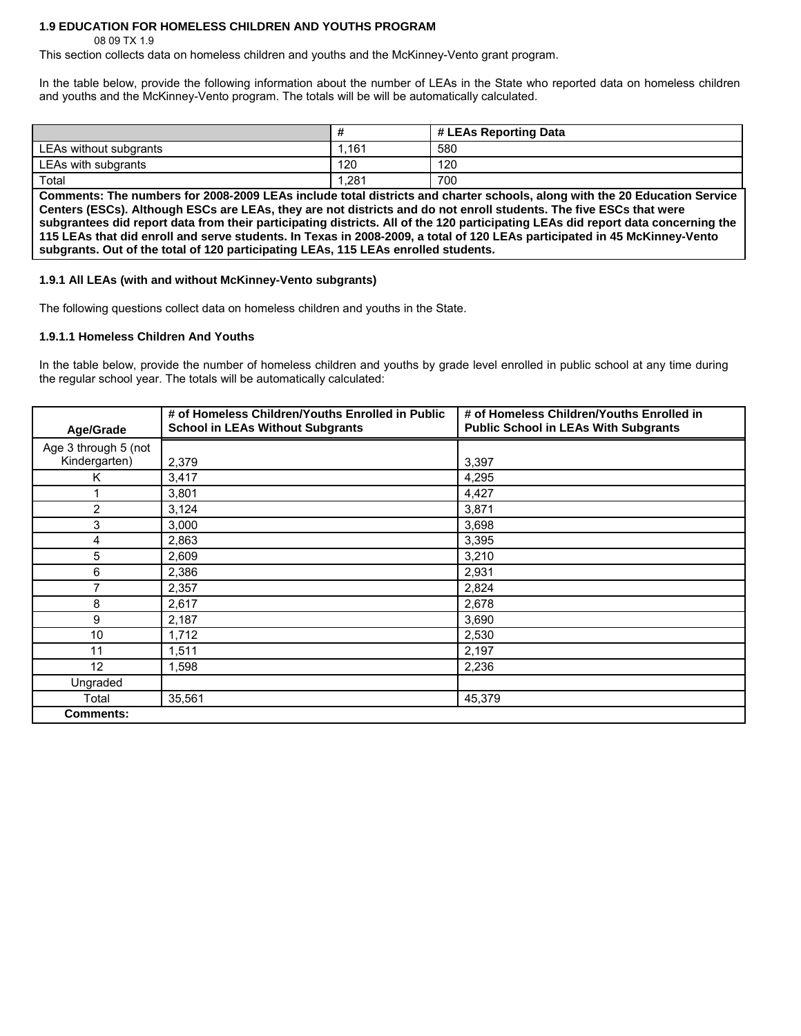# **1.9 EDUCATION FOR HOMELESS CHILDREN AND YOUTHS PROGRAM**

08 09 TX 1.9

This section collects data on homeless children and youths and the McKinney-Vento grant program.

In the table below, provide the following information about the number of LEAs in the State who reported data on homeless children and youths and the McKinney-Vento program. The totals will be will be automatically calculated.

|                        |       | # LEAs Reporting Data |
|------------------------|-------|-----------------------|
| LEAs without subgrants | .161  | 580                   |
| LEAs with subgrants    | 120   | 120                   |
| Total                  | 1,281 | 700                   |

**Comments: The numbers for 2008-2009 LEAs include total districts and charter schools, along with the 20 Education Service Centers (ESCs). Although ESCs are LEAs, they are not districts and do not enroll students. The five ESCs that were subgrantees did report data from their participating districts. All of the 120 participating LEAs did report data concerning the 115 LEAs that did enroll and serve students. In Texas in 2008-2009, a total of 120 LEAs participated in 45 McKinney-Vento subgrants. Out of the total of 120 participating LEAs, 115 LEAs enrolled students.** 

### **1.9.1 All LEAs (with and without McKinney-Vento subgrants)**

The following questions collect data on homeless children and youths in the State.

#### **1.9.1.1 Homeless Children And Youths**

In the table below, provide the number of homeless children and youths by grade level enrolled in public school at any time during the regular school year. The totals will be automatically calculated:

| Age/Grade            | # of Homeless Children/Youths Enrolled in Public<br><b>School in LEAs Without Subgrants</b> | # of Homeless Children/Youths Enrolled in<br><b>Public School in LEAs With Subgrants</b> |
|----------------------|---------------------------------------------------------------------------------------------|------------------------------------------------------------------------------------------|
| Age 3 through 5 (not |                                                                                             |                                                                                          |
| Kindergarten)        | 2,379                                                                                       | 3,397                                                                                    |
| K                    | 3,417                                                                                       | 4,295                                                                                    |
|                      | 3,801                                                                                       | 4,427                                                                                    |
| $\overline{2}$       | 3,124                                                                                       | 3,871                                                                                    |
| 3                    | 3,000                                                                                       | 3,698                                                                                    |
| 4                    | 2,863                                                                                       | 3,395                                                                                    |
| 5                    | 2,609                                                                                       | 3,210                                                                                    |
| 6                    | 2,386                                                                                       | 2,931                                                                                    |
| 7                    | 2,357                                                                                       | 2,824                                                                                    |
| 8                    | 2,617                                                                                       | 2,678                                                                                    |
| 9                    | 2,187                                                                                       | 3,690                                                                                    |
| 10                   | 1,712                                                                                       | 2,530                                                                                    |
| 11                   | 1,511                                                                                       | 2,197                                                                                    |
| 12                   | 1,598                                                                                       | 2,236                                                                                    |
| Ungraded             |                                                                                             |                                                                                          |
| Total                | 35,561                                                                                      | 45,379                                                                                   |
| <b>Comments:</b>     |                                                                                             |                                                                                          |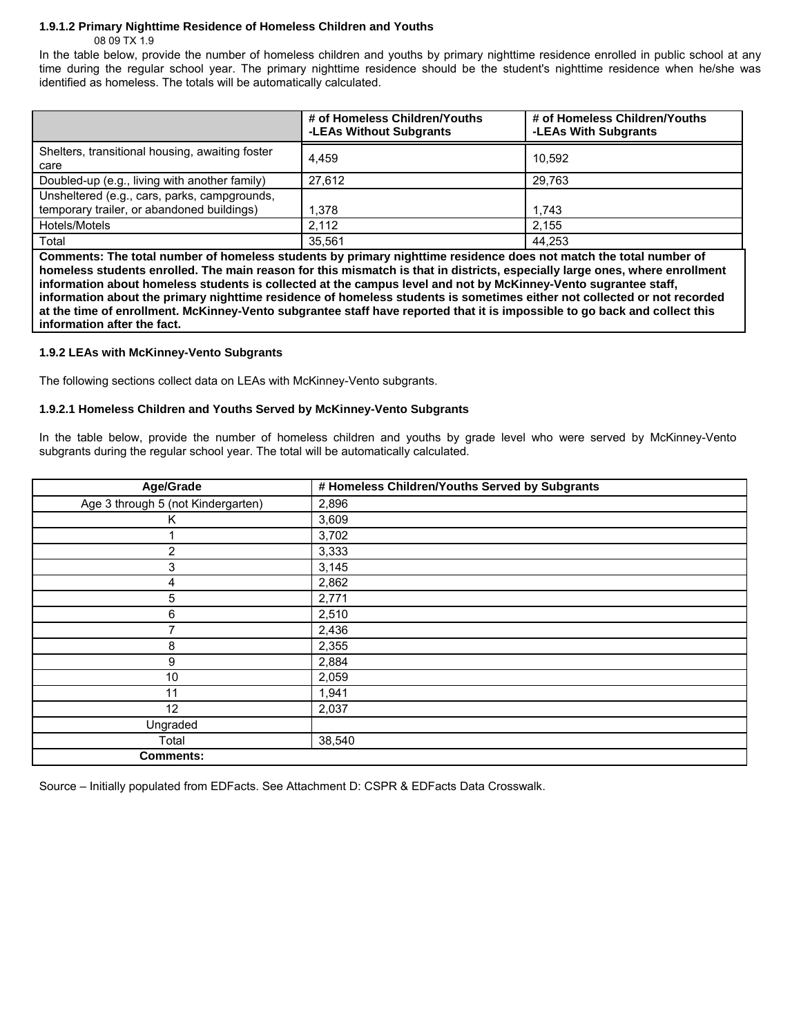## **1.9.1.2 Primary Nighttime Residence of Homeless Children and Youths**

08 09 TX 1.9

In the table below, provide the number of homeless children and youths by primary nighttime residence enrolled in public school at any time during the regular school year. The primary nighttime residence should be the student's nighttime residence when he/she was identified as homeless. The totals will be automatically calculated.

|                                                                                            | # of Homeless Children/Youths<br>-LEAs Without Subgrants | # of Homeless Children/Youths<br>-LEAs With Subgrants |
|--------------------------------------------------------------------------------------------|----------------------------------------------------------|-------------------------------------------------------|
| Shelters, transitional housing, awaiting foster<br>care                                    | 4.459                                                    | 10.592                                                |
| Doubled-up (e.g., living with another family)                                              | 27.612                                                   | 29.763                                                |
| Unsheltered (e.g., cars, parks, campgrounds,<br>temporary trailer, or abandoned buildings) | 1.378                                                    | 1.743                                                 |
| Hotels/Motels                                                                              | 2.112                                                    | 2.155                                                 |
| Total                                                                                      | 35.561                                                   | 44.253                                                |

**Comments: The total number of homeless students by primary nighttime residence does not match the total number of homeless students enrolled. The main reason for this mismatch is that in districts, especially large ones, where enrollment information about homeless students is collected at the campus level and not by McKinney-Vento sugrantee staff, information about the primary nighttime residence of homeless students is sometimes either not collected or not recorded at the time of enrollment. McKinney-Vento subgrantee staff have reported that it is impossible to go back and collect this information after the fact.** 

## **1.9.2 LEAs with McKinney-Vento Subgrants**

The following sections collect data on LEAs with McKinney-Vento subgrants.

#### **1.9.2.1 Homeless Children and Youths Served by McKinney-Vento Subgrants**

In the table below, provide the number of homeless children and youths by grade level who were served by McKinney-Vento subgrants during the regular school year. The total will be automatically calculated.

| Age/Grade                          | # Homeless Children/Youths Served by Subgrants |
|------------------------------------|------------------------------------------------|
| Age 3 through 5 (not Kindergarten) | 2,896                                          |
| Κ                                  | 3,609                                          |
|                                    | 3,702                                          |
| $\overline{2}$                     | 3,333                                          |
| 3                                  | 3,145                                          |
| 4                                  | 2,862                                          |
| 5                                  | 2,771                                          |
| 6                                  | 2,510                                          |
| 7                                  | 2,436                                          |
| 8                                  | 2,355                                          |
| 9                                  | 2,884                                          |
| 10                                 | 2,059                                          |
| 11                                 | 1,941                                          |
| 12                                 | 2,037                                          |
| Ungraded                           |                                                |
| Total                              | 38,540                                         |
| <b>Comments:</b>                   |                                                |

Source – Initially populated from EDFacts. See Attachment D: CSPR & EDFacts Data Crosswalk.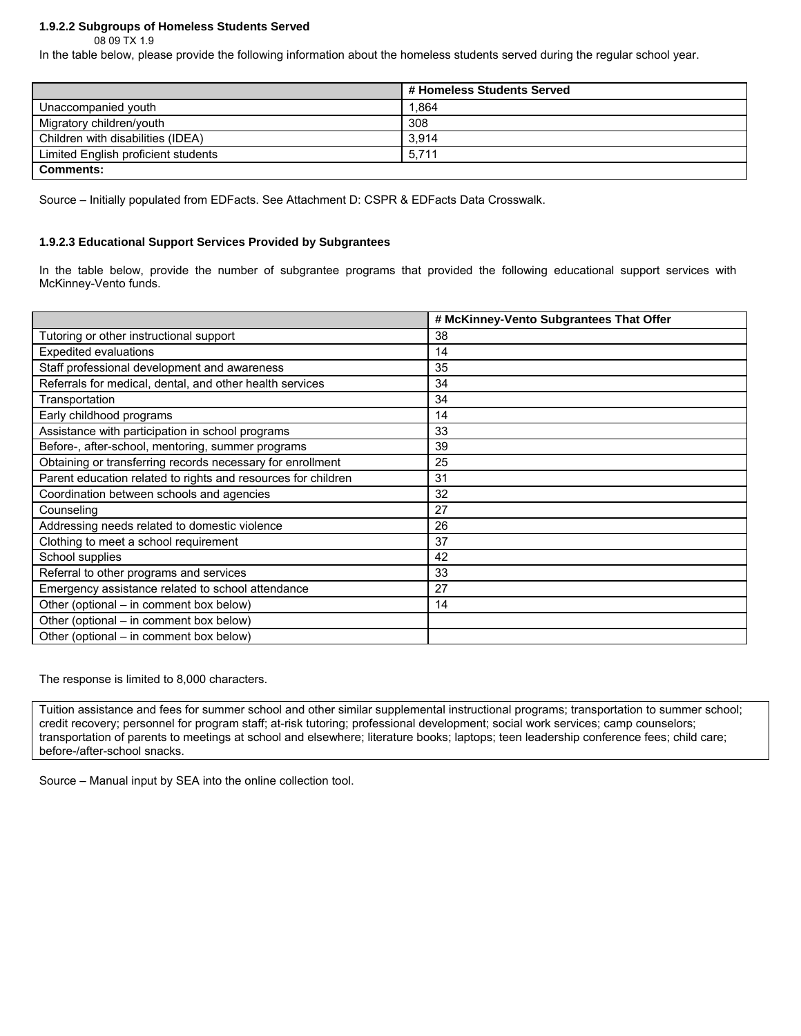## **1.9.2.2 Subgroups of Homeless Students Served**

08 09 TX 1.9

In the table below, please provide the following information about the homeless students served during the regular school year.

|                                     | # Homeless Students Served |
|-------------------------------------|----------------------------|
| Unaccompanied youth                 | 1,864                      |
| Migratory children/youth            | 308                        |
| Children with disabilities (IDEA)   | 3.914                      |
| Limited English proficient students | 5.711                      |
| <b>Comments:</b>                    |                            |

Source – Initially populated from EDFacts. See Attachment D: CSPR & EDFacts Data Crosswalk.

#### **1.9.2.3 Educational Support Services Provided by Subgrantees**

In the table below, provide the number of subgrantee programs that provided the following educational support services with McKinney-Vento funds.

|                                                               | # McKinney-Vento Subgrantees That Offer |
|---------------------------------------------------------------|-----------------------------------------|
| Tutoring or other instructional support                       | 38                                      |
| <b>Expedited evaluations</b>                                  | 14                                      |
| Staff professional development and awareness                  | 35                                      |
| Referrals for medical, dental, and other health services      | 34                                      |
| Transportation                                                | 34                                      |
| Early childhood programs                                      | 14                                      |
| Assistance with participation in school programs              | 33                                      |
| Before-, after-school, mentoring, summer programs             | 39                                      |
| Obtaining or transferring records necessary for enrollment    | 25                                      |
| Parent education related to rights and resources for children | 31                                      |
| Coordination between schools and agencies                     | 32                                      |
| Counseling                                                    | 27                                      |
| Addressing needs related to domestic violence                 | 26                                      |
| Clothing to meet a school requirement                         | 37                                      |
| School supplies                                               | 42                                      |
| Referral to other programs and services                       | 33                                      |
| Emergency assistance related to school attendance             | 27                                      |
| Other (optional – in comment box below)                       | 14                                      |
| Other (optional – in comment box below)                       |                                         |
| Other (optional – in comment box below)                       |                                         |

The response is limited to 8,000 characters.

Tuition assistance and fees for summer school and other similar supplemental instructional programs; transportation to summer school; credit recovery; personnel for program staff; at-risk tutoring; professional development; social work services; camp counselors; transportation of parents to meetings at school and elsewhere; literature books; laptops; teen leadership conference fees; child care; before-/after-school snacks.

Source – Manual input by SEA into the online collection tool.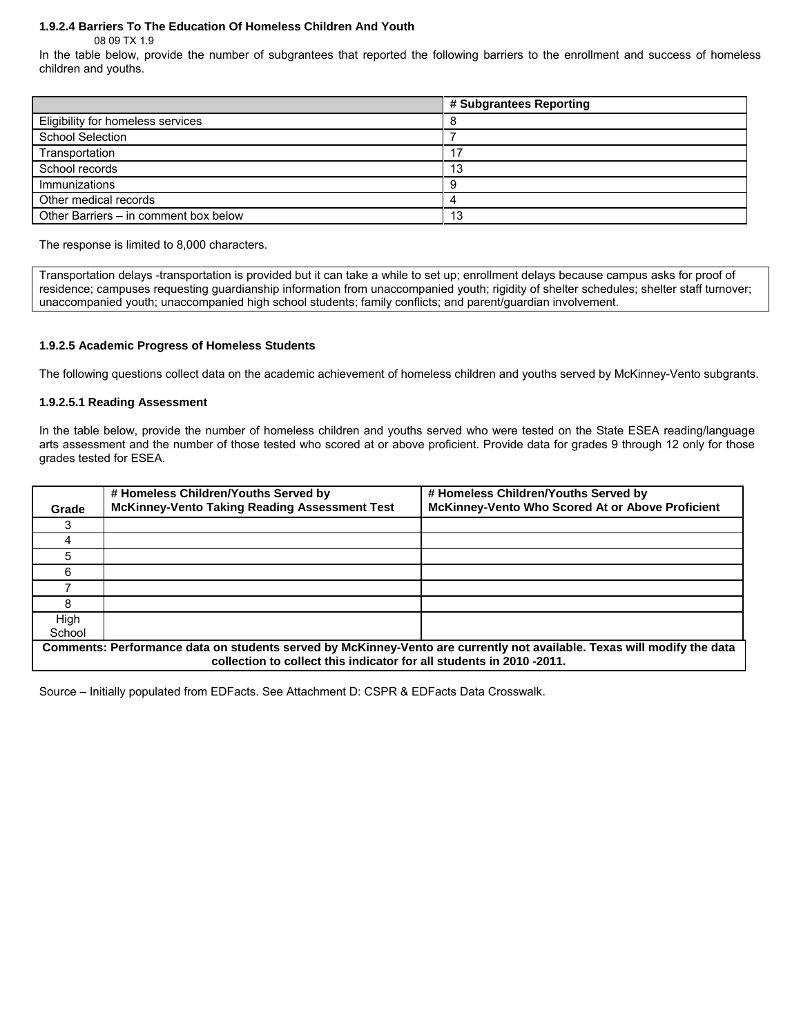## **1.9.2.4 Barriers To The Education Of Homeless Children And Youth**

08 09 TX 1.9

In the table below, provide the number of subgrantees that reported the following barriers to the enrollment and success of homeless children and youths.

|                                       | # Subgrantees Reporting |
|---------------------------------------|-------------------------|
| Eligibility for homeless services     |                         |
| <b>School Selection</b>               |                         |
| Transportation                        | 17                      |
| School records                        | 13                      |
| Immunizations                         |                         |
| Other medical records                 |                         |
| Other Barriers – in comment box below | 13                      |

The response is limited to 8,000 characters.

Transportation delays -transportation is provided but it can take a while to set up; enrollment delays because campus asks for proof of residence; campuses requesting guardianship information from unaccompanied youth; rigidity of shelter schedules; shelter staff turnover; unaccompanied youth; unaccompanied high school students; family conflicts; and parent/guardian involvement.

#### **1.9.2.5 Academic Progress of Homeless Students**

The following questions collect data on the academic achievement of homeless children and youths served by McKinney-Vento subgrants.

#### **1.9.2.5.1 Reading Assessment**

In the table below, provide the number of homeless children and youths served who were tested on the State ESEA reading/language arts assessment and the number of those tested who scored at or above proficient. Provide data for grades 9 through 12 only for those grades tested for ESEA.

| Grade                                                                                                                                                                                          | # Homeless Children/Youths Served by<br><b>McKinney-Vento Taking Reading Assessment Test</b> | # Homeless Children/Youths Served by<br>McKinney-Vento Who Scored At or Above Proficient |
|------------------------------------------------------------------------------------------------------------------------------------------------------------------------------------------------|----------------------------------------------------------------------------------------------|------------------------------------------------------------------------------------------|
|                                                                                                                                                                                                |                                                                                              |                                                                                          |
|                                                                                                                                                                                                |                                                                                              |                                                                                          |
|                                                                                                                                                                                                |                                                                                              |                                                                                          |
| ี่ค                                                                                                                                                                                            |                                                                                              |                                                                                          |
|                                                                                                                                                                                                |                                                                                              |                                                                                          |
|                                                                                                                                                                                                |                                                                                              |                                                                                          |
| High<br>School                                                                                                                                                                                 |                                                                                              |                                                                                          |
| Comments: Performance data on students served by McKinney-Vento are currently not available. Texas will modify the data<br>collection to collect this indicator for all students in 2010-2011. |                                                                                              |                                                                                          |

Source – Initially populated from EDFacts. See Attachment D: CSPR & EDFacts Data Crosswalk.